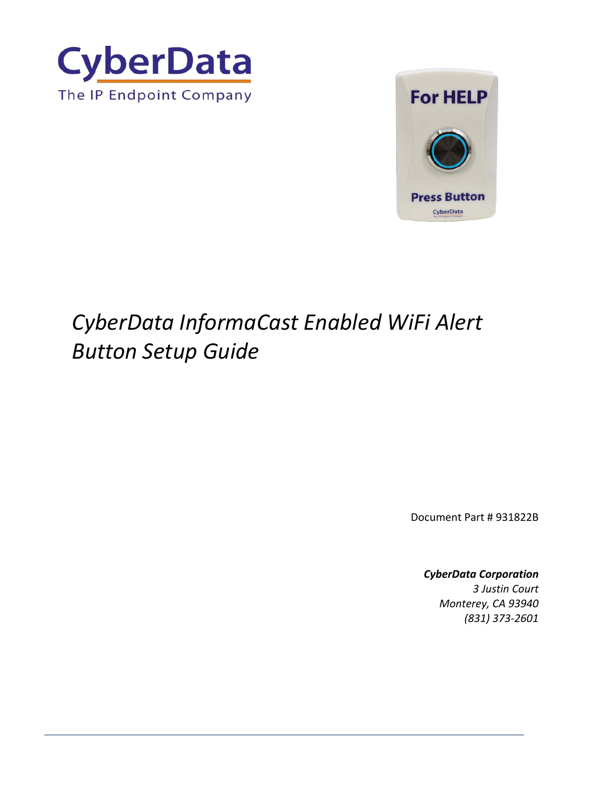



# *CyberData InformaCast Enabled WiFi Alert Button Setup Guide*

Document Part # 931822B

### *CyberData Corporation*

*3 Justin Court Monterey, CA 93940 (831) 373-2601*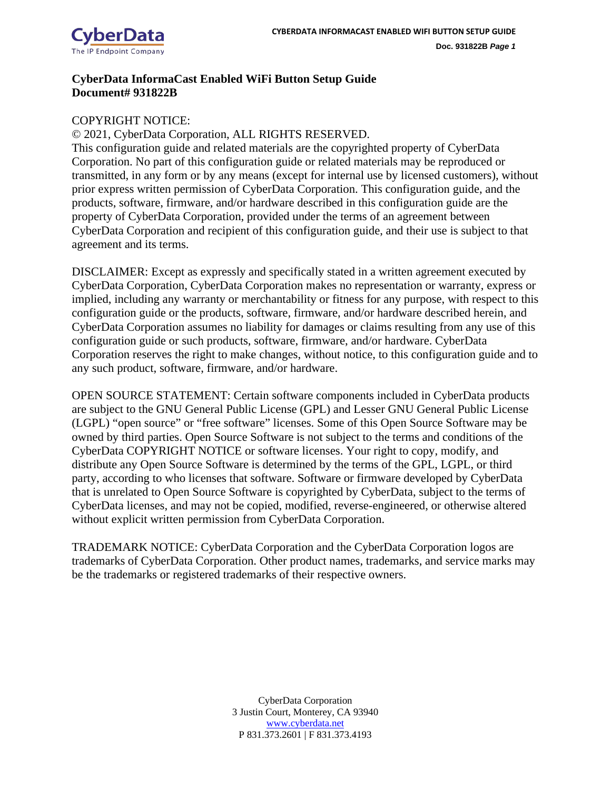

### **CyberData InformaCast Enabled WiFi Button Setup Guide Document# 931822B**

### COPYRIGHT NOTICE:

© 2021, CyberData Corporation, ALL RIGHTS RESERVED.

This configuration guide and related materials are the copyrighted property of CyberData Corporation. No part of this configuration guide or related materials may be reproduced or transmitted, in any form or by any means (except for internal use by licensed customers), without prior express written permission of CyberData Corporation. This configuration guide, and the products, software, firmware, and/or hardware described in this configuration guide are the property of CyberData Corporation, provided under the terms of an agreement between CyberData Corporation and recipient of this configuration guide, and their use is subject to that agreement and its terms.

DISCLAIMER: Except as expressly and specifically stated in a written agreement executed by CyberData Corporation, CyberData Corporation makes no representation or warranty, express or implied, including any warranty or merchantability or fitness for any purpose, with respect to this configuration guide or the products, software, firmware, and/or hardware described herein, and CyberData Corporation assumes no liability for damages or claims resulting from any use of this configuration guide or such products, software, firmware, and/or hardware. CyberData Corporation reserves the right to make changes, without notice, to this configuration guide and to any such product, software, firmware, and/or hardware.

OPEN SOURCE STATEMENT: Certain software components included in CyberData products are subject to the GNU General Public License (GPL) and Lesser GNU General Public License (LGPL) "open source" or "free software" licenses. Some of this Open Source Software may be owned by third parties. Open Source Software is not subject to the terms and conditions of the CyberData COPYRIGHT NOTICE or software licenses. Your right to copy, modify, and distribute any Open Source Software is determined by the terms of the GPL, LGPL, or third party, according to who licenses that software. Software or firmware developed by CyberData that is unrelated to Open Source Software is copyrighted by CyberData, subject to the terms of CyberData licenses, and may not be copied, modified, reverse-engineered, or otherwise altered without explicit written permission from CyberData Corporation.

TRADEMARK NOTICE: CyberData Corporation and the CyberData Corporation logos are trademarks of CyberData Corporation. Other product names, trademarks, and service marks may be the trademarks or registered trademarks of their respective owners.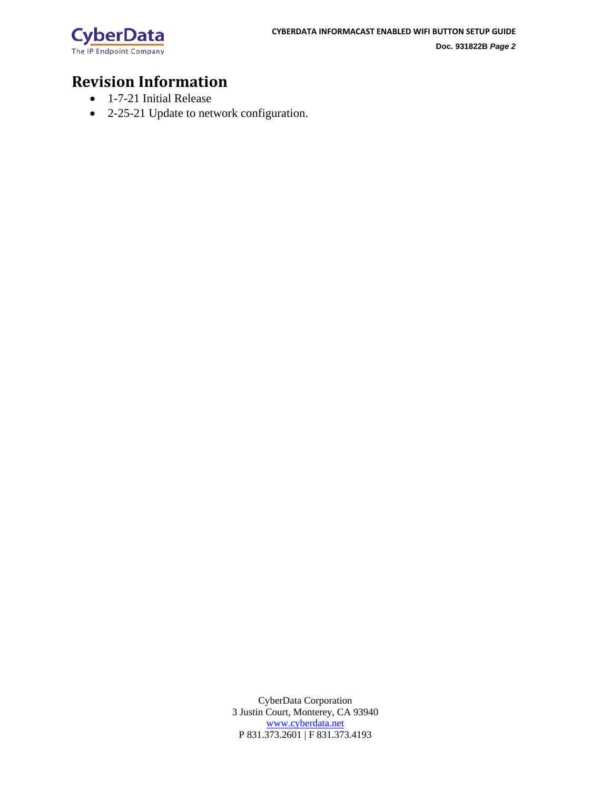

# **Revision Information**

- 1-7-21 Initial Release
- 2-25-21 Update to network configuration.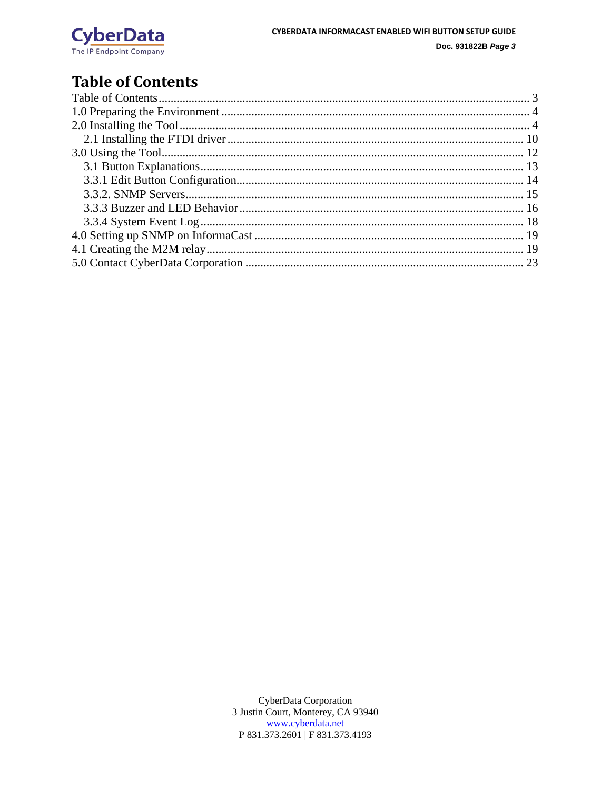

# <span id="page-3-0"></span>**Table of Contents**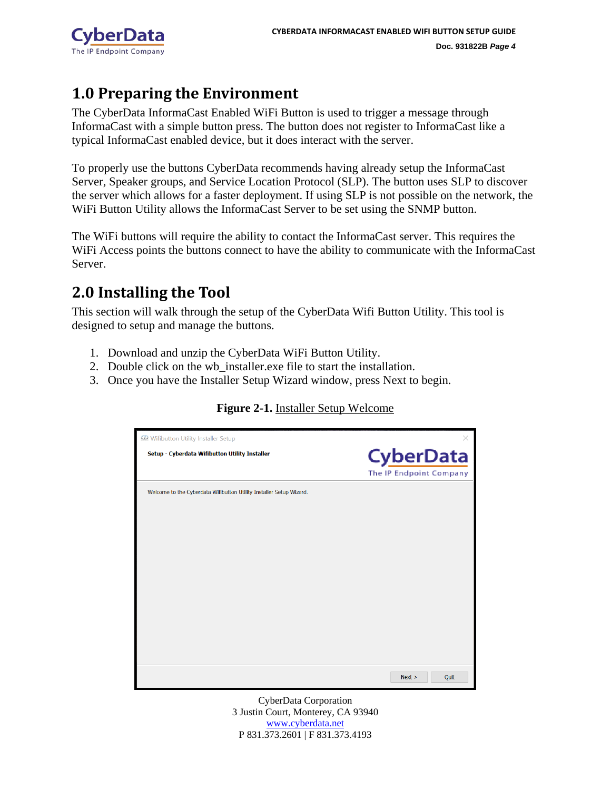

# <span id="page-4-0"></span>**1.0 Preparing the Environment**

The CyberData InformaCast Enabled WiFi Button is used to trigger a message through InformaCast with a simple button press. The button does not register to InformaCast like a typical InformaCast enabled device, but it does interact with the server.

To properly use the buttons CyberData recommends having already setup the InformaCast Server, Speaker groups, and Service Location Protocol (SLP). The button uses SLP to discover the server which allows for a faster deployment. If using SLP is not possible on the network, the WiFi Button Utility allows the InformaCast Server to be set using the SNMP button.

The WiFi buttons will require the ability to contact the InformaCast server. This requires the WiFi Access points the buttons connect to have the ability to communicate with the InformaCast Server.

# <span id="page-4-1"></span>**2.0 Installing the Tool**

This section will walk through the setup of the CyberData Wifi Button Utility. This tool is designed to setup and manage the buttons.

- 1. Download and unzip the CyberData WiFi Button Utility.
- 2. Double click on the wb\_installer.exe file to start the installation.
- 3. Once you have the Installer Setup Wizard window, press Next to begin.

### **Figure 2-1.** Installer Setup Welcome

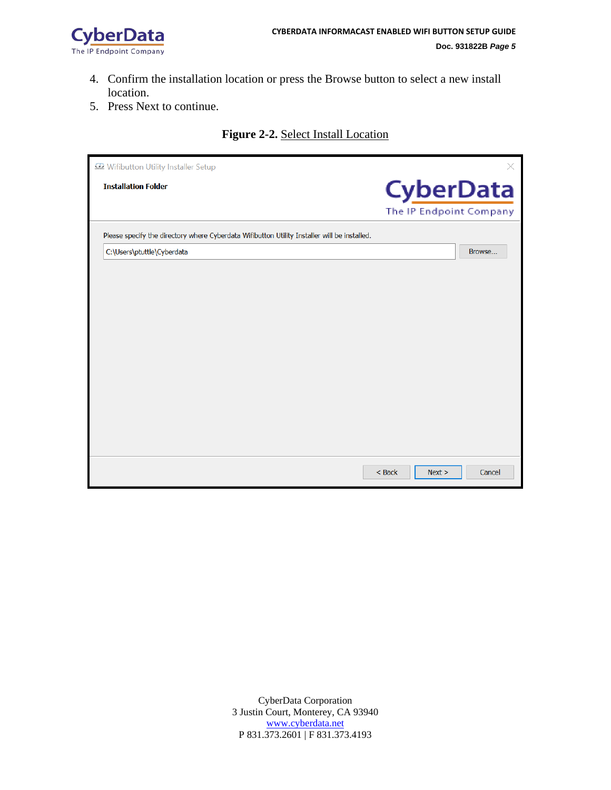

- 4. Confirm the installation location or press the Browse button to select a new install location.
- 5. Press Next to continue.

### **Figure 2-2.** Select Install Location

| Wifibutton Utility Installer Setup                                                           | X                          |
|----------------------------------------------------------------------------------------------|----------------------------|
| <b>Installation Folder</b>                                                                   | <b>CyberData</b>           |
|                                                                                              | The IP Endpoint Company    |
| Please specify the directory where Cyberdata Wifibutton Utility Installer will be installed. |                            |
| C:\Users\ptuttle\Cyberdata                                                                   | Browse                     |
|                                                                                              |                            |
|                                                                                              |                            |
|                                                                                              |                            |
|                                                                                              |                            |
|                                                                                              |                            |
|                                                                                              |                            |
|                                                                                              |                            |
|                                                                                              |                            |
|                                                                                              |                            |
|                                                                                              |                            |
|                                                                                              |                            |
|                                                                                              |                            |
|                                                                                              | $<$ Back<br>Next<br>Cancel |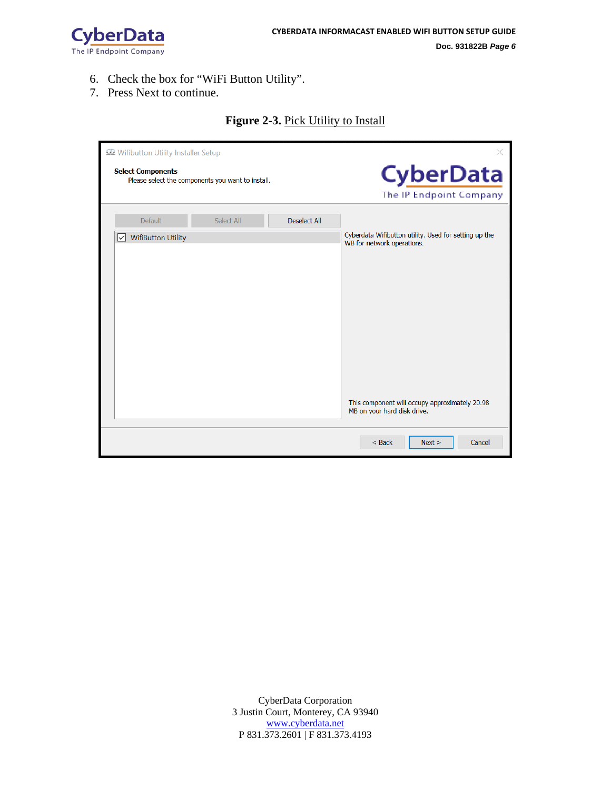

- 6. Check the box for "WiFi Button Utility".
- 7. Press Next to continue.

| Wifibutton Utility Installer Setup<br><b>Select Components</b><br>Please select the components you want to install. |                                                    |            |                     | $\times$<br><b>CyberData</b><br>The IP Endpoint Company                             |
|---------------------------------------------------------------------------------------------------------------------|----------------------------------------------------|------------|---------------------|-------------------------------------------------------------------------------------|
|                                                                                                                     | Default                                            | Select All | <b>Deselect All</b> |                                                                                     |
|                                                                                                                     | <b>WifiButton Utility</b><br>$\left  \vee \right $ |            |                     | Cyberdata Wifibutton utility. Used for setting up the<br>WB for network operations. |
|                                                                                                                     |                                                    |            |                     | This component will occupy approximately 20.98<br>MB on your hard disk drive.       |
|                                                                                                                     |                                                    |            |                     | $<$ Back<br>Next ><br>Cancel                                                        |

#### **Figure 2-3.** Pick Utility to Install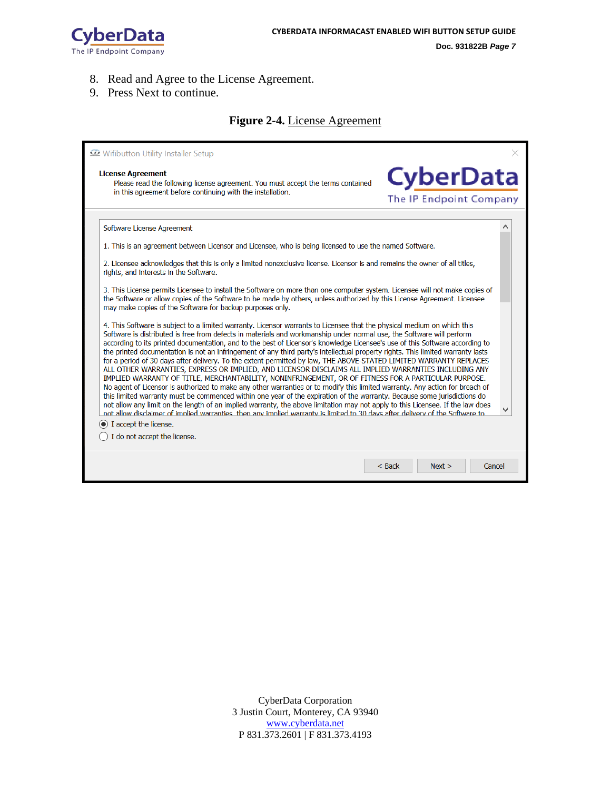

**Doc. 931822B** *Page 7*

- 8. Read and Agree to the License Agreement.
- 9. Press Next to continue.

### **Figure 2-4.** License Agreement

| Wifibutton Utility Installer Setup                                                                                                                                                                                                                                                                                                                                                                                                                                                                                                                                                                                                                                                                                                                                                                                                                                                                                                                                                                                                                                                                                                                                                                                                                                                                                                                                                        |          |                                             |        |
|-------------------------------------------------------------------------------------------------------------------------------------------------------------------------------------------------------------------------------------------------------------------------------------------------------------------------------------------------------------------------------------------------------------------------------------------------------------------------------------------------------------------------------------------------------------------------------------------------------------------------------------------------------------------------------------------------------------------------------------------------------------------------------------------------------------------------------------------------------------------------------------------------------------------------------------------------------------------------------------------------------------------------------------------------------------------------------------------------------------------------------------------------------------------------------------------------------------------------------------------------------------------------------------------------------------------------------------------------------------------------------------------|----------|---------------------------------------------|--------|
| <b>License Agreement</b><br>Please read the following license agreement. You must accept the terms contained<br>in this agreement before continuing with the installation.                                                                                                                                                                                                                                                                                                                                                                                                                                                                                                                                                                                                                                                                                                                                                                                                                                                                                                                                                                                                                                                                                                                                                                                                                |          | <b>CyberData</b><br>The IP Endpoint Company |        |
|                                                                                                                                                                                                                                                                                                                                                                                                                                                                                                                                                                                                                                                                                                                                                                                                                                                                                                                                                                                                                                                                                                                                                                                                                                                                                                                                                                                           |          |                                             |        |
| Software License Agreement                                                                                                                                                                                                                                                                                                                                                                                                                                                                                                                                                                                                                                                                                                                                                                                                                                                                                                                                                                                                                                                                                                                                                                                                                                                                                                                                                                |          |                                             |        |
| 1. This is an agreement between Licensor and Licensee, who is being licensed to use the named Software.                                                                                                                                                                                                                                                                                                                                                                                                                                                                                                                                                                                                                                                                                                                                                                                                                                                                                                                                                                                                                                                                                                                                                                                                                                                                                   |          |                                             |        |
| 2. Licensee acknowledges that this is only a limited nonexclusive license. Licensor is and remains the owner of all titles,<br>rights, and interests in the Software.                                                                                                                                                                                                                                                                                                                                                                                                                                                                                                                                                                                                                                                                                                                                                                                                                                                                                                                                                                                                                                                                                                                                                                                                                     |          |                                             |        |
| 3. This License permits Licensee to install the Software on more than one computer system. Licensee will not make copies of<br>the Software or allow copies of the Software to be made by others, unless authorized by this License Agreement. Licensee<br>may make copies of the Software for backup purposes only.                                                                                                                                                                                                                                                                                                                                                                                                                                                                                                                                                                                                                                                                                                                                                                                                                                                                                                                                                                                                                                                                      |          |                                             |        |
| 4. This Software is subject to a limited warranty. Licensor warrants to Licensee that the physical medium on which this<br>Software is distributed is free from defects in materials and workmanship under normal use, the Software will perform<br>according to its printed documentation, and to the best of Licensor's knowledge Licensee's use of this Software according to<br>the printed documentation is not an infringement of any third party's intellectual property rights. This limited warranty lasts<br>for a period of 30 days after delivery. To the extent permitted by law, THE ABOVE-STATED LIMITED WARRANTY REPLACES<br>ALL OTHER WARRANTIES, EXPRESS OR IMPLIED, AND LICENSOR DISCLAIMS ALL IMPLIED WARRANTIES INCLUDING ANY<br>IMPLIED WARRANTY OF TITLE, MERCHANTABILITY, NONINFRINGEMENT, OR OF FITNESS FOR A PARTICULAR PURPOSE.<br>No agent of Licensor is authorized to make any other warranties or to modify this limited warranty. Any action for breach of<br>this limited warranty must be commenced within one year of the expiration of the warranty. Because some jurisdictions do<br>not allow any limit on the length of an implied warranty, the above limitation may not apply to this Licensee. If the law does<br>not allow disclaimer of implied warranties, then any implied warranty is limited to 30 days after delivery of the Software to |          |                                             |        |
| $\bullet$ I accept the license.                                                                                                                                                                                                                                                                                                                                                                                                                                                                                                                                                                                                                                                                                                                                                                                                                                                                                                                                                                                                                                                                                                                                                                                                                                                                                                                                                           |          |                                             |        |
| I do not accept the license.                                                                                                                                                                                                                                                                                                                                                                                                                                                                                                                                                                                                                                                                                                                                                                                                                                                                                                                                                                                                                                                                                                                                                                                                                                                                                                                                                              |          |                                             |        |
|                                                                                                                                                                                                                                                                                                                                                                                                                                                                                                                                                                                                                                                                                                                                                                                                                                                                                                                                                                                                                                                                                                                                                                                                                                                                                                                                                                                           |          |                                             |        |
|                                                                                                                                                                                                                                                                                                                                                                                                                                                                                                                                                                                                                                                                                                                                                                                                                                                                                                                                                                                                                                                                                                                                                                                                                                                                                                                                                                                           | $<$ Back | Next >                                      | Cancel |
|                                                                                                                                                                                                                                                                                                                                                                                                                                                                                                                                                                                                                                                                                                                                                                                                                                                                                                                                                                                                                                                                                                                                                                                                                                                                                                                                                                                           |          |                                             |        |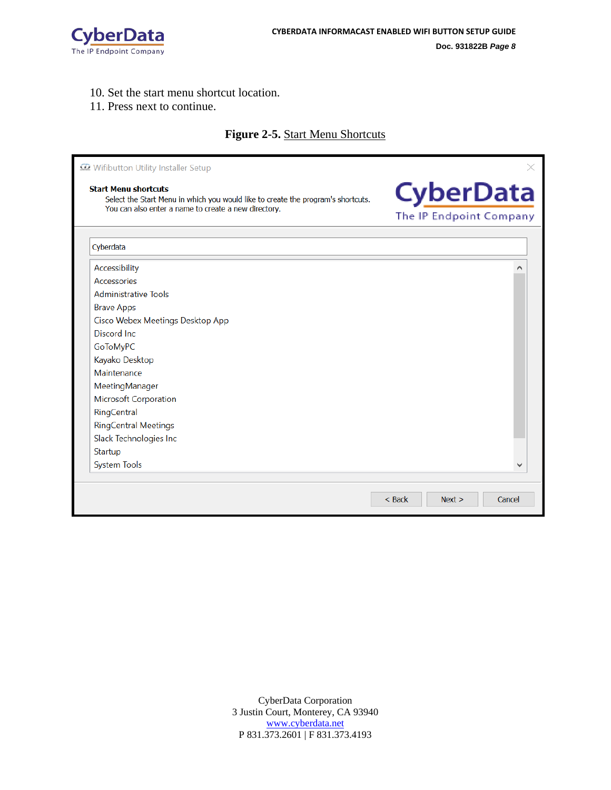

10. Set the start menu shortcut location.

#### 11. Press next to continue.

### **Figure 2-5.** Start Menu Shortcuts

| Wifibutton Utility Installer Setup                                                                                                                                      |                                             |
|-------------------------------------------------------------------------------------------------------------------------------------------------------------------------|---------------------------------------------|
| <b>Start Menu shortcuts</b><br>Select the Start Menu in which you would like to create the program's shortcuts.<br>You can also enter a name to create a new directory. | <b>CyberData</b><br>The IP Endpoint Company |
| Cyberdata                                                                                                                                                               |                                             |
| Accessibility                                                                                                                                                           |                                             |
| Accessories                                                                                                                                                             |                                             |
| <b>Administrative Tools</b>                                                                                                                                             |                                             |
| <b>Brave Apps</b>                                                                                                                                                       |                                             |
| Cisco Webex Meetings Desktop App                                                                                                                                        |                                             |
| Discord Inc.                                                                                                                                                            |                                             |
| GoToMyPC                                                                                                                                                                |                                             |
| Kayako Desktop                                                                                                                                                          |                                             |
| Maintenance                                                                                                                                                             |                                             |
| MeetingManager                                                                                                                                                          |                                             |
| <b>Microsoft Corporation</b>                                                                                                                                            |                                             |
| RingCentral                                                                                                                                                             |                                             |
| <b>RingCentral Meetings</b>                                                                                                                                             |                                             |
| Slack Technologies Inc                                                                                                                                                  |                                             |
| Startup                                                                                                                                                                 |                                             |
| <b>System Tools</b>                                                                                                                                                     |                                             |
|                                                                                                                                                                         |                                             |
|                                                                                                                                                                         | $<$ Back<br>Next<br>Cancel                  |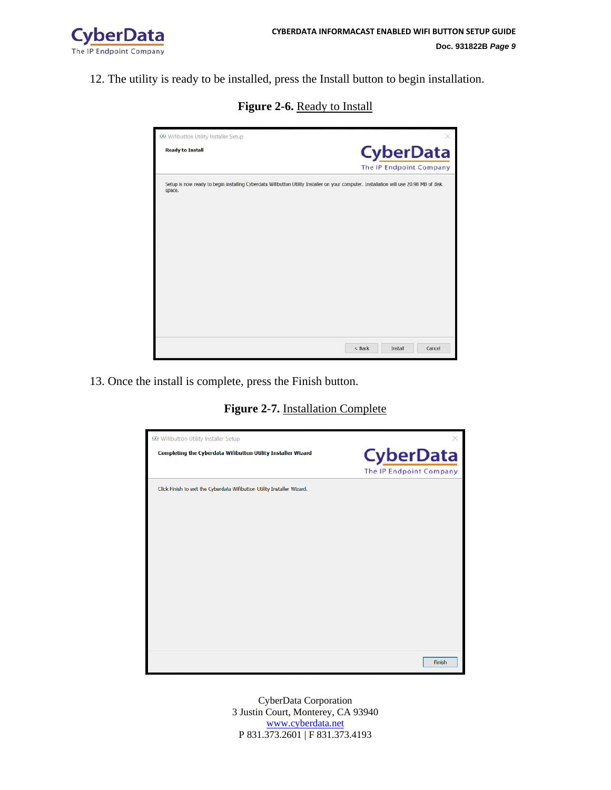

12. The utility is ready to be installed, press the Install button to begin installation.

**Figure 2-6.** Ready to Install

| C2 Wifibutton Utility Installer Setup                                                                                                            | ×                           |
|--------------------------------------------------------------------------------------------------------------------------------------------------|-----------------------------|
| <b>Ready to Install</b>                                                                                                                          | <b>CyberData</b>            |
|                                                                                                                                                  | The IP Endpoint Company     |
| Setup is now ready to begin installing Cyberdata Wifibutton Utility Installer on your computer. Installation will use 20.98 MB of disk<br>space. |                             |
|                                                                                                                                                  | < Back<br>Install<br>Cancel |

13. Once the install is complete, press the Finish button.

**Figure 2-7.** Installation Complete

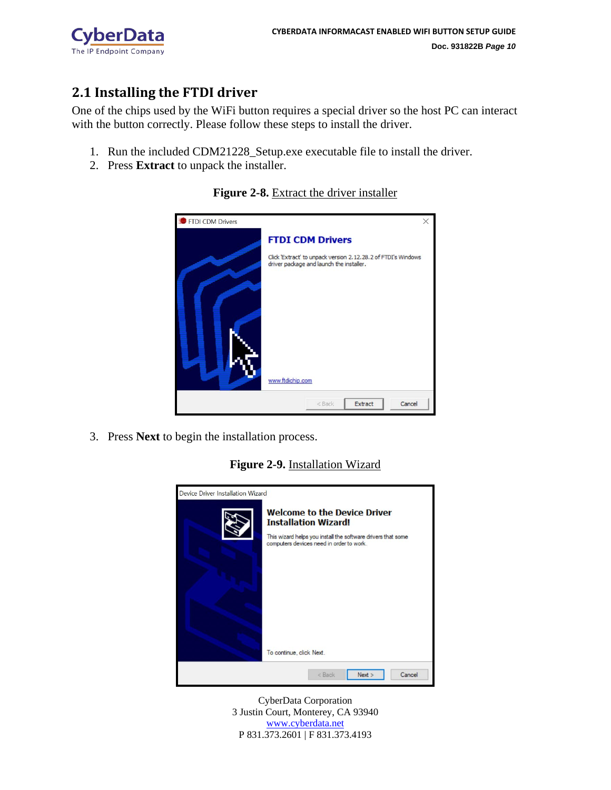

### <span id="page-10-0"></span>**2.1 Installing the FTDI driver**

One of the chips used by the WiFi button requires a special driver so the host PC can interact with the button correctly. Please follow these steps to install the driver.

- 1. Run the included CDM21228\_Setup.exe executable file to install the driver.
- 2. Press **Extract** to unpack the installer.



#### **Figure 2-8.** Extract the driver installer

3. Press **Next** to begin the installation process.

### **Figure 2-9.** Installation Wizard

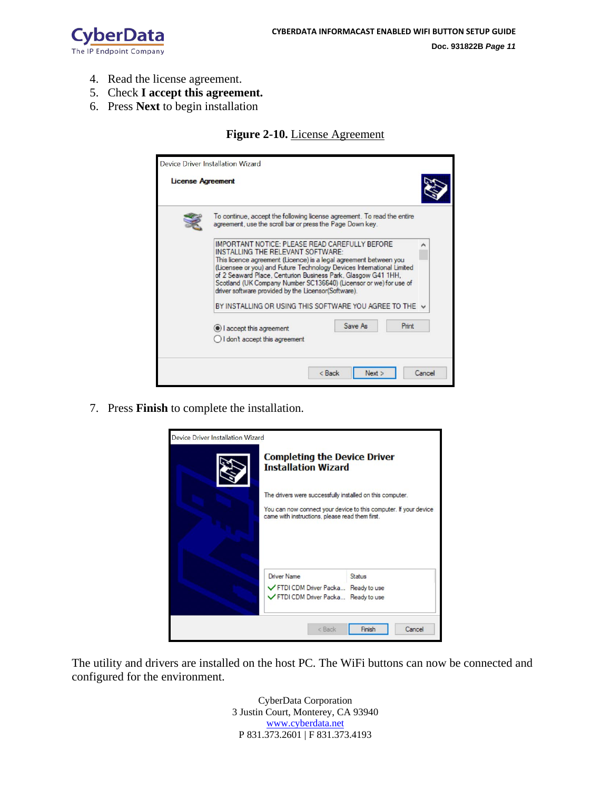

- 4. Read the license agreement.
- 5. Check **I accept this agreement.**
- 6. Press **Next** to begin installation

#### **Figure 2-10.** License Agreement

| <b>License Agreement</b>                                                                                                                                                                                                                                                                                                                                                                                                       |
|--------------------------------------------------------------------------------------------------------------------------------------------------------------------------------------------------------------------------------------------------------------------------------------------------------------------------------------------------------------------------------------------------------------------------------|
| To continue, accept the following license agreement. To read the entire<br>agreement, use the scroll bar or press the Page Down key.                                                                                                                                                                                                                                                                                           |
| IMPORTANT NOTICE: PLEASE READ CAREFULLY BEFORE<br>INSTALLING THE RELEVANT SOFTWARE:<br>This licence agreement (Licence) is a legal agreement between you<br>(Licensee or you) and Future Technology Devices International Limited<br>of 2 Seaward Place, Centurion Business Park, Glasgow G41 1HH,<br>Scotland (UK Company Number SC136640) (Licensor or we) for use of<br>driver software provided by the Licensor(Software). |
| BY INSTALLING OR USING THIS SOFTWARE YOU AGREE TO THE V                                                                                                                                                                                                                                                                                                                                                                        |
| Save As<br>Print<br>I accept this agreement                                                                                                                                                                                                                                                                                                                                                                                    |
| I don't accept this agreement                                                                                                                                                                                                                                                                                                                                                                                                  |

7. Press **Finish** to complete the installation.



The utility and drivers are installed on the host PC. The WiFi buttons can now be connected and configured for the environment.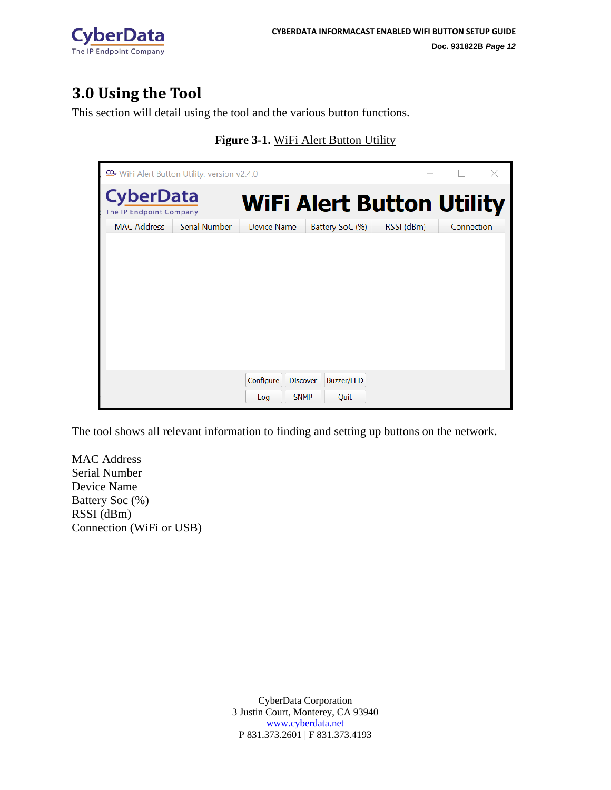

# <span id="page-12-0"></span>**3.0 Using the Tool**

This section will detail using the tool and the various button functions.

| <b>CD</b> . WiFi Alert Button Utility, version v2.4.0 |               |                                                    |                                  |            | $\times$   |
|-------------------------------------------------------|---------------|----------------------------------------------------|----------------------------------|------------|------------|
| <b>CyberData</b><br>The IP Endpoint Company           |               |                                                    | <b>WiFi Alert Button Utility</b> |            |            |
| <b>MAC Address</b>                                    | Serial Number | Device Name                                        | Battery SoC (%)                  | RSSI (dBm) | Connection |
|                                                       |               |                                                    |                                  |            |            |
|                                                       |               | Configure<br><b>Discover</b><br><b>SNMP</b><br>Log | Buzzer/LED<br>Quit               |            |            |

**Figure 3-1.** WiFi Alert Button Utility

The tool shows all relevant information to finding and setting up buttons on the network.

MAC Address Serial Number Device Name Battery Soc (%) RSSI (dBm) Connection (WiFi or USB)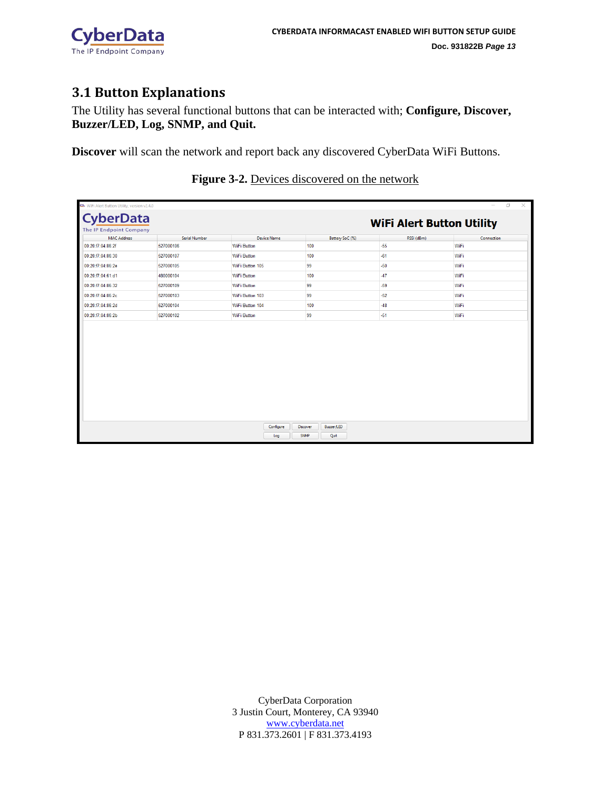

### <span id="page-13-0"></span>**3.1 Button Explanations**

The Utility has several functional buttons that can be interacted with; **Configure, Discover, Buzzer/LED, Log, SNMP, and Quit.**

**Discover** will scan the network and report back any discovered CyberData WiFi Buttons.

| CD. WiFi Alert Button Utility, version v2.4.0 |                      |                    |                        |                                  | $\times$<br>n |
|-----------------------------------------------|----------------------|--------------------|------------------------|----------------------------------|---------------|
| <b>CyberData</b>                              |                      |                    |                        | <b>WiFi Alert Button Utility</b> |               |
| The IP Endpoint Company<br><b>MAC Address</b> | <b>Serial Number</b> | <b>Device Name</b> | Battery SoC (%)        | RSSI (dBm)                       | Connection    |
| 00:20:f7:04:86:2f                             | 527000106            | <b>WiFi Button</b> | 100                    | $-55$                            | WiFi          |
| 00:20:f7:04:86:30                             | 527000107            | <b>WiFi Button</b> | 100                    | $-61$                            | WiFi          |
| 00:20:f7:04:86:2e                             | 527000105            | WiFi Button 105    | 99                     | $-50$                            | WiFi          |
| 00:20:f7:04:61:d1                             | 480000104            | WiFi Button        | 100                    | $-47$                            | WiFi          |
| 00:20:f7:04:86:32                             | 527000109            | <b>WiFi Button</b> | 99                     | $-59$                            | WiFi          |
| 00:20:f7:04:86:2c                             | 527000103            | WiFi Button 103    | 99                     | $-52$                            | WiFi          |
| 00:20:f7:04:86:2d                             | 527000104            | WiFi Button 104    | 100                    | $-48$                            | WiFi          |
| 00:20:f7:04:86:2b                             | 527000102            | <b>WiFi Button</b> | 99                     | $-51$                            | WiFi          |
|                                               |                      |                    |                        |                                  |               |
|                                               |                      | Configure          | Buzzer/LED<br>Discover |                                  |               |
|                                               |                      | Log                | SNMP<br>Quit           |                                  |               |

### **Figure 3-2.** Devices discovered on the network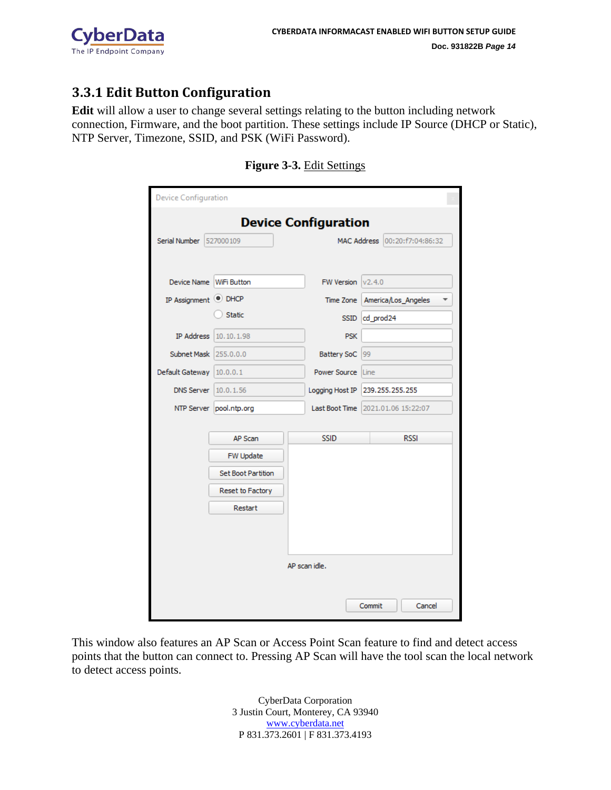

### <span id="page-14-0"></span>**3.3.1 Edit Button Configuration**

**Edit** will allow a user to change several settings relating to the button including network connection, Firmware, and the boot partition. These settings include IP Source (DHCP or Static), NTP Server, Timezone, SSID, and PSK (WiFi Password).

| Device Configuration            |                    |  |                     |                                    |                               |  |  |
|---------------------------------|--------------------|--|---------------------|------------------------------------|-------------------------------|--|--|
| <b>Device Configuration</b>     |                    |  |                     |                                    |                               |  |  |
| Serial Number                   | 527000109          |  |                     |                                    | MAC Address 00:20:f7:04:86:32 |  |  |
| <b>Device Name</b>              | WiFi Button        |  | FW Version          | v2.4.0                             |                               |  |  |
| IP Assignment <sup>O</sup> DHCP |                    |  | Time Zone           |                                    | America/Los_Angeles           |  |  |
|                                 | <b>Static</b>      |  | <b>SSID</b>         | cd_prod24                          |                               |  |  |
| <b>IP Address</b>               | 10.10.1.98         |  | <b>PSK</b>          |                                    |                               |  |  |
| Subnet Mask                     | 255.0.0.0          |  | <b>Battery SoC</b>  | 99                                 |                               |  |  |
| Default Gateway                 | 10.0.0.1           |  | <b>Power Source</b> | Line                               |                               |  |  |
| <b>DNS Server</b>               | 10.0.1.56          |  | Logging Host IP     | 239.255.255.255                    |                               |  |  |
| NTP Server                      | pool.ntp.org       |  |                     | Last Boot Time 2021.01.06 15:22:07 |                               |  |  |
|                                 | AP Scan            |  | <b>SSID</b>         |                                    | <b>RSSI</b>                   |  |  |
|                                 | FW Update          |  |                     |                                    |                               |  |  |
|                                 | Set Boot Partition |  |                     |                                    |                               |  |  |
|                                 | Reset to Factory   |  |                     |                                    |                               |  |  |
|                                 | Restart            |  |                     |                                    |                               |  |  |
|                                 |                    |  |                     |                                    |                               |  |  |
|                                 |                    |  |                     |                                    |                               |  |  |
|                                 |                    |  | AP scan idle.       |                                    |                               |  |  |
|                                 |                    |  |                     |                                    |                               |  |  |
|                                 |                    |  |                     | Commit                             | Cancel                        |  |  |

**Figure 3-3.** Edit Settings

This window also features an AP Scan or Access Point Scan feature to find and detect access points that the button can connect to. Pressing AP Scan will have the tool scan the local network to detect access points.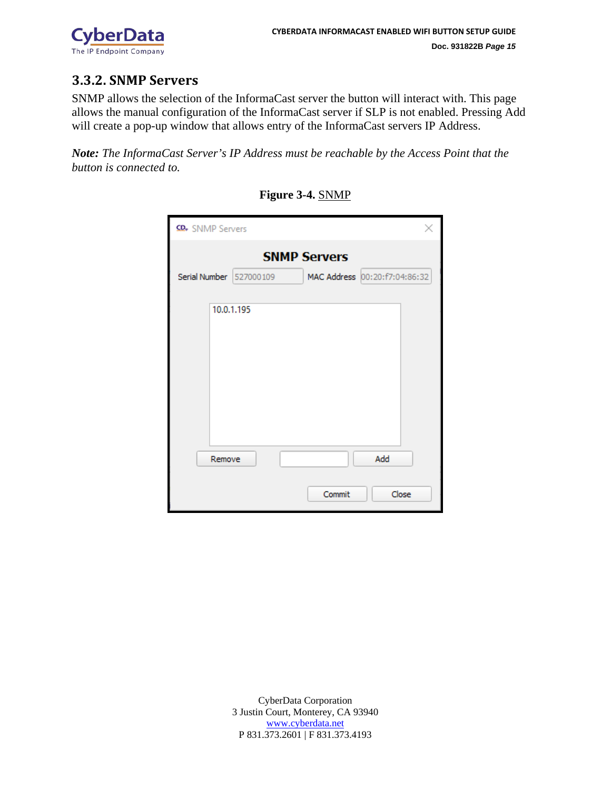

### <span id="page-15-0"></span>**3.3.2. SNMP Servers**

SNMP allows the selection of the InformaCast server the button will interact with. This page allows the manual configuration of the InformaCast server if SLP is not enabled. Pressing Add will create a pop-up window that allows entry of the InformaCast servers IP Address.

*Note: The InformaCast Server's IP Address must be reachable by the Access Point that the button is connected to.* 

| CD <sub>v</sub> SNMP Servers |            |                                                      | ×     |
|------------------------------|------------|------------------------------------------------------|-------|
| Serial Number   527000109    |            | <b>SNMP Servers</b><br>MAC Address 00:20:f7:04:86:32 |       |
|                              | 10.0.1.195 |                                                      |       |
| Remove                       |            | Add<br>Commit                                        | Close |

**Figure 3-4.** SNMP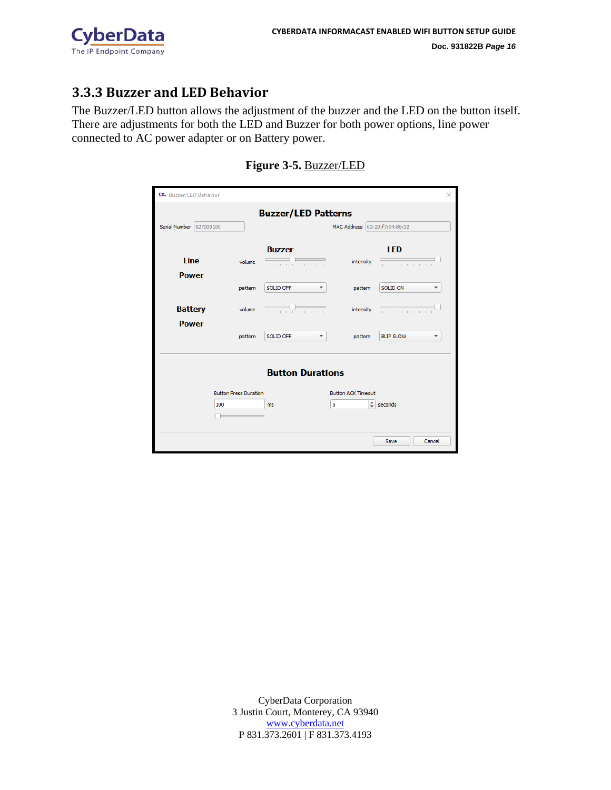

### <span id="page-16-0"></span>**3.3.3 Buzzer and LED Behavior**

The Buzzer/LED button allows the adjustment of the buzzer and the LED on the button itself. There are adjustments for both the LED and Buzzer for both power options, line power connected to AC power adapter or on Battery power.

| CD <sub>*</sub> Buzzer/LED Behavior |                                     |                            |                                     |                  | ×      |
|-------------------------------------|-------------------------------------|----------------------------|-------------------------------------|------------------|--------|
|                                     |                                     |                            |                                     |                  |        |
|                                     |                                     | <b>Buzzer/LED Patterns</b> |                                     |                  |        |
| Serial Number 527000109             |                                     |                            | MAC Address 00:20:f7:04:86:32       |                  |        |
|                                     |                                     |                            |                                     |                  |        |
|                                     |                                     | <b>Buzzer</b>              |                                     | <b>LED</b>       |        |
| <b>Line</b>                         | volume                              | .                          | intensity                           | <del>.</del>     |        |
| <b>Power</b>                        |                                     |                            |                                     |                  |        |
|                                     | pattern                             | SOLID OFF                  | pattern                             | SOLID ON         |        |
|                                     |                                     |                            |                                     |                  |        |
| <b>Battery</b>                      | volume                              | <del>.</del>               | intensity                           | . <del>.</del>   |        |
| <b>Power</b>                        |                                     |                            |                                     |                  |        |
|                                     | pattern                             | SOLID OFF                  | pattern                             | <b>BLIP SLOW</b> |        |
|                                     |                                     |                            |                                     |                  |        |
|                                     |                                     |                            |                                     |                  |        |
|                                     |                                     | <b>Button Durations</b>    |                                     |                  |        |
|                                     |                                     |                            |                                     |                  |        |
|                                     | <b>Button Press Duration</b><br>100 |                            | <b>Button ACK Timeout</b><br>÷<br>5 | seconds          |        |
|                                     |                                     | ms                         |                                     |                  |        |
|                                     |                                     |                            |                                     |                  |        |
|                                     |                                     |                            |                                     |                  |        |
|                                     |                                     |                            |                                     | Save             | Cancel |

### **Figure 3-5.** Buzzer/LED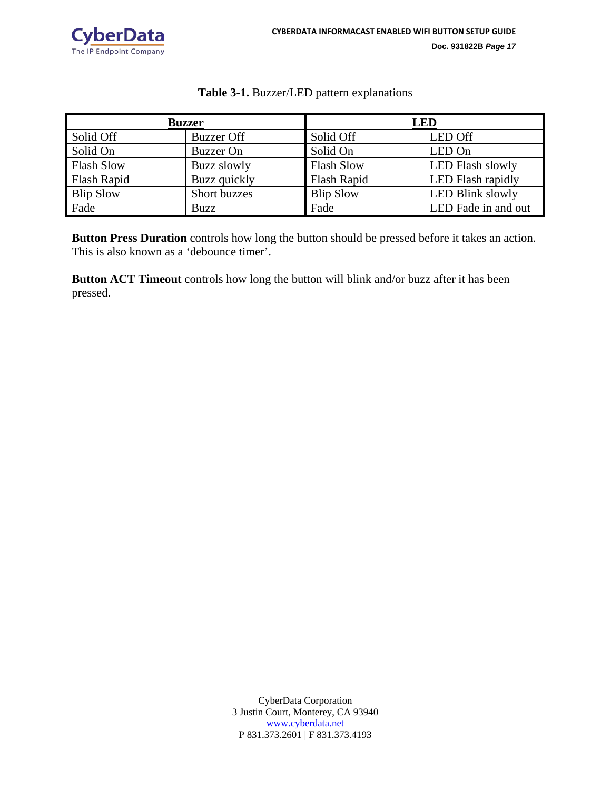

#### **Table 3-1.** Buzzer/LED pattern explanations

| <b>Buzzer</b>      |                   | <b>LED</b>        |                         |  |
|--------------------|-------------------|-------------------|-------------------------|--|
| Solid Off          | <b>Buzzer Off</b> | Solid Off         | <b>LED Off</b>          |  |
| Solid On           | <b>Buzzer</b> On  | Solid On          | LED On                  |  |
| <b>Flash Slow</b>  | Buzz slowly       | <b>Flash Slow</b> | <b>LED Flash slowly</b> |  |
| <b>Flash Rapid</b> | Buzz quickly      | Flash Rapid       | LED Flash rapidly       |  |
| <b>Blip Slow</b>   | Short buzzes      | <b>Blip Slow</b>  | <b>LED Blink slowly</b> |  |
| Fade               | Buzz              | Fade              | LED Fade in and out     |  |

**Button Press Duration** controls how long the button should be pressed before it takes an action. This is also known as a 'debounce timer'.

**Button ACT Timeout** controls how long the button will blink and/or buzz after it has been pressed.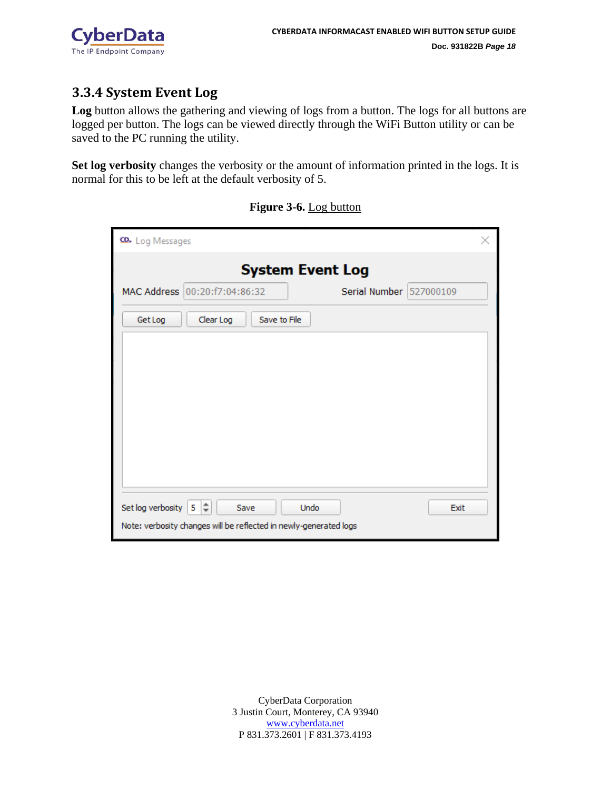

### <span id="page-18-0"></span>**3.3.4 System Event Log**

Log button allows the gathering and viewing of logs from a button. The logs for all buttons are logged per button. The logs can be viewed directly through the WiFi Button utility or can be saved to the PC running the utility.

**Set log verbosity** changes the verbosity or the amount of information printed in the logs. It is normal for this to be left at the default verbosity of 5.

| CD <sub>v</sub> Log Messages                                           |                           | × |
|------------------------------------------------------------------------|---------------------------|---|
| <b>System Event Log</b>                                                |                           |   |
| MAC Address 00:20:f7:04:86:32                                          | Serial Number   527000109 |   |
| Clear Log<br>Save to File<br>Get Log                                   |                           |   |
|                                                                        |                           |   |
|                                                                        |                           |   |
|                                                                        |                           |   |
|                                                                        |                           |   |
|                                                                        |                           |   |
|                                                                        |                           |   |
| Set log verbosity 5 $\left  \right. \hat{\div}$<br><b>Undo</b><br>Save | Exit                      |   |
| Note: verbosity changes will be reflected in newly-generated logs      |                           |   |

**Figure 3-6.** Log button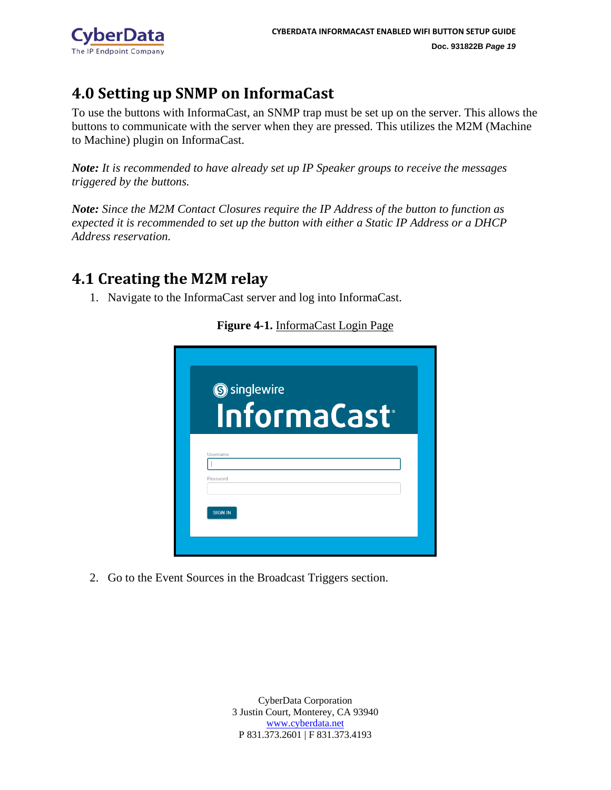

# <span id="page-19-0"></span>**4.0 Setting up SNMP on InformaCast**

To use the buttons with InformaCast, an SNMP trap must be set up on the server. This allows the buttons to communicate with the server when they are pressed. This utilizes the M2M (Machine to Machine) plugin on InformaCast.

*Note: It is recommended to have already set up IP Speaker groups to receive the messages triggered by the buttons.* 

*Note: Since the M2M Contact Closures require the IP Address of the button to function as expected it is recommended to set up the button with either a Static IP Address or a DHCP Address reservation.* 

## <span id="page-19-1"></span>**4.1 Creating the M2M relay**

1. Navigate to the InformaCast server and log into InformaCast.

**S** singlewire InformaCast<sup>®</sup> **SIGN IN** 

**Figure 4-1.** InformaCast Login Page

2. Go to the Event Sources in the Broadcast Triggers section.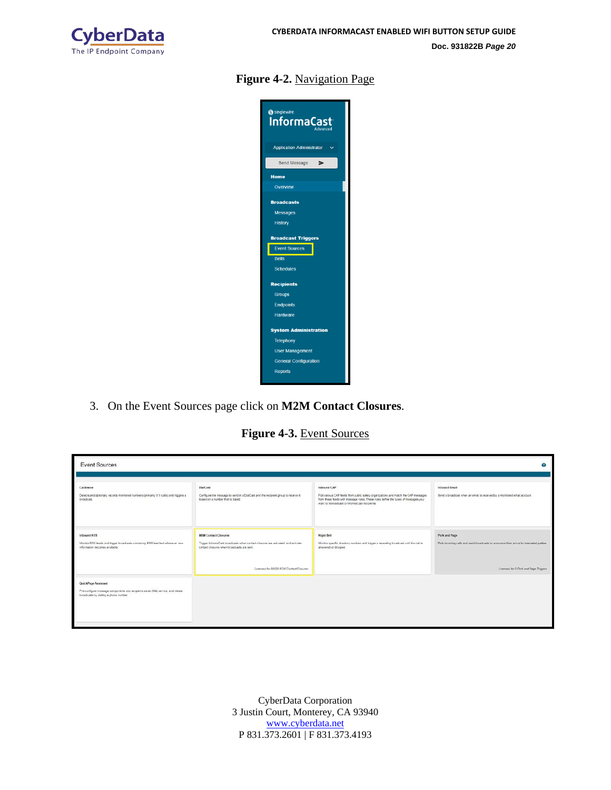

### **Figure 4-2.** Navigation Page



3. On the Event Sources page click on **M2M Contact Closures**.

**Figure 4-3.** Event Sources

| <b>Event Sources</b>                                                                                                                           |                                                                                                                                                                                                          |                                                                                                                                                                                                                                           | ⊙                                                                                                                                                 |
|------------------------------------------------------------------------------------------------------------------------------------------------|----------------------------------------------------------------------------------------------------------------------------------------------------------------------------------------------------------|-------------------------------------------------------------------------------------------------------------------------------------------------------------------------------------------------------------------------------------------|---------------------------------------------------------------------------------------------------------------------------------------------------|
| CaliAware<br>Denotes and optionally records monitored numbers (primarily 911 calls) and triggers a<br>broadcast.                               | <b>DistCest</b><br>Configure the message to send in a DialCast and the recipient group to receive it<br>based on a number that is dated                                                                  | Inbound CAP<br>Poll various CAP feeds from public safety organizations and match the CAP messages<br>from these feeds with message rules. These rules define the types of messages you<br>want to rebroadcast to InformaCast recipients'. | Inbound Ernall<br>Send a broadcast when an email is received by a monitored email account.                                                        |
| Inbound RSS<br>Monitor RSS leeds and tigger broadcasts containing RSS feed text whenever new<br>information becomes arailable.                 | <b>M2M Contact Closures</b><br>Trigger informaCast broadcasts when contact closures are activated, and activate<br>contact clasures when broadcasts are sent.<br>Licensed for 50000 M/M Contact Clocured | Night Bell<br>Monitor specific drectory numbers and trigger a repeating broadcast until the call is<br>anisvered or dropped.                                                                                                              | Park and Page<br>Park incoming calls and send broadcasts to announce their arrival to interested parties<br>Licensed for 0 Park and Page Triggers |
| QuickPage Assistant<br>Preventigure message components and recipients as an XML service, and initiate<br>broadcasts by dialing a phone number. |                                                                                                                                                                                                          |                                                                                                                                                                                                                                           |                                                                                                                                                   |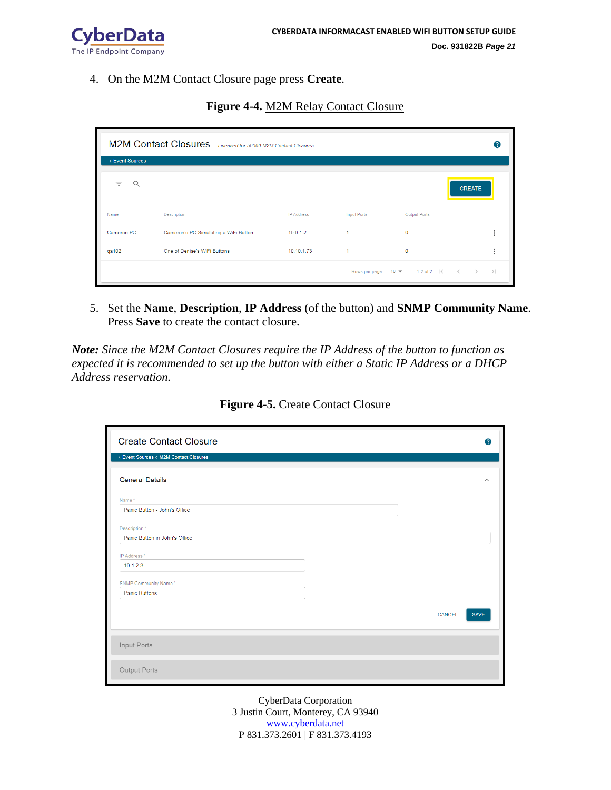

4. On the M2M Contact Closure page press **Create**.

**Figure 4-4.** M2M Relay Contact Closure

| M2M Contact Closures Licensed for 50000 M2M Contact Closures |                                       |                   |                    |                                                                                            | Q |
|--------------------------------------------------------------|---------------------------------------|-------------------|--------------------|--------------------------------------------------------------------------------------------|---|
| < Event Sources                                              |                                       |                   |                    |                                                                                            |   |
| $\equiv$<br>Q                                                |                                       |                   |                    | <b>CREATE</b>                                                                              |   |
| Name                                                         | Description                           | <b>IP Address</b> | <b>Input Ports</b> | Output Ports                                                                               |   |
| Cameron PC                                                   | Cameron's PC Simulating a WiFi Button | 10.0.1.2          |                    | $\mathbf{0}$                                                                               |   |
| qa102                                                        | One of Denise's WiFi Buttons          | 10.10.1.73        |                    | $\mathbf{0}$                                                                               |   |
|                                                              |                                       |                   |                    | Rows per page: $10 \blacktriangleright$ 1-2 of 2   $\langle$ $\langle$ $\rangle$ $\rangle$ |   |

5. Set the **Name**, **Description**, **IP Address** (of the button) and **SNMP Community Name**. Press **Save** to create the contact closure.

*Note: Since the M2M Contact Closures require the IP Address of the button to function as expected it is recommended to set up the button with either a Static IP Address or a DHCP Address reservation.* 

| <b>Create Contact Closure</b>          |        | $\bullet$               |
|----------------------------------------|--------|-------------------------|
| < Event Sources < M2M Contact Closures |        |                         |
| <b>General Details</b>                 |        | $\widehat{\phantom{a}}$ |
| Name*                                  |        |                         |
| Panic Button - John's Office           |        |                         |
| Description*                           |        |                         |
| Panic Button in John's Office          |        |                         |
| IP Address*                            |        |                         |
| 10.1.2.3                               |        |                         |
| SNMP Community Name*                   |        |                         |
| Panic Buttons                          |        |                         |
|                                        | CANCEL | <b>SAVE</b>             |
|                                        |        |                         |
| Input Ports                            |        |                         |
| Output Ports                           |        |                         |

**Figure 4-5.** Create Contact Closure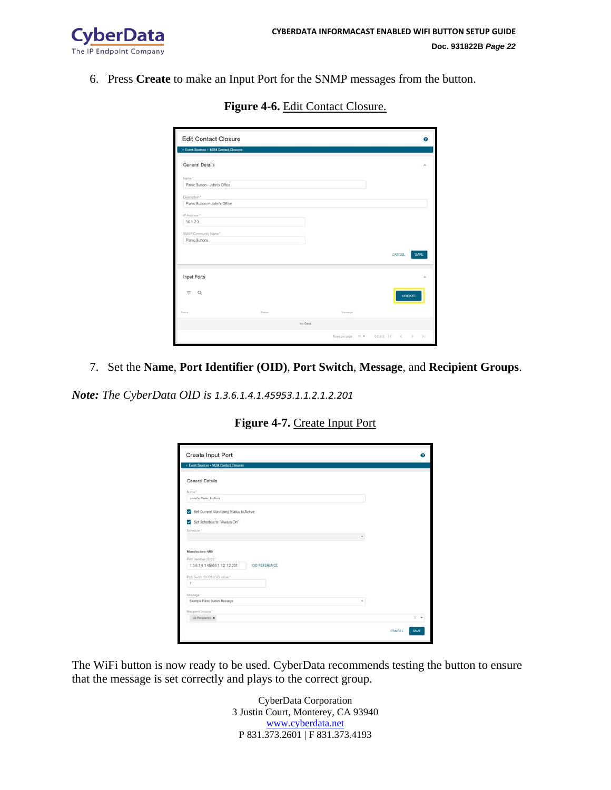

6. Press **Create** to make an Input Port for the SNMP messages from the button.

| <b>Edit Contact Closure</b><br>< Event Sources < M2M Contact Closures |        |         |         | の                                      |
|-----------------------------------------------------------------------|--------|---------|---------|----------------------------------------|
| General Details                                                       |        |         |         | ۸                                      |
| Name*                                                                 |        |         |         |                                        |
| Panic Button - John's Office                                          |        |         |         |                                        |
| Description*                                                          |        |         |         |                                        |
| Panic Button in John's Office                                         |        |         |         |                                        |
| IP.Address *                                                          |        |         |         |                                        |
| 10.1.2.3                                                              |        |         |         |                                        |
| SNMP Community Name"                                                  |        |         |         |                                        |
| Panic Buttons                                                         |        |         |         |                                        |
|                                                                       |        |         |         | CANCEL<br>SAVE                         |
| <b>Input Ports</b>                                                    |        |         |         | ×                                      |
| $\alpha$<br>$\frac{1}{2}$                                             |        |         |         | CREATE                                 |
| <b>Starne</b>                                                         | Stetus |         | Message |                                        |
|                                                                       |        | No Data |         |                                        |
|                                                                       |        |         |         | Ross per page 10 = 0.0 std 10 - 3 - 31 |

**Figure 4-6.** Edit Contact Closure.

7. Set the **Name**, **Port Identifier (OID)**, **Port Switch**, **Message**, and **Recipient Groups**.

*Note: The CyberData OID is 1.3.6.1.4.1.45953.1.1.2.1.2.201*

| Figure 4-7. Create Input Port |
|-------------------------------|
|-------------------------------|

| Create Input Port                                |   |                |
|--------------------------------------------------|---|----------------|
| < Event Sources < M2M Contact Cleaures           |   |                |
| General Details                                  |   |                |
| Name."                                           |   |                |
| John's Panic button                              |   |                |
| Set Current Monitoring Status to Active          |   |                |
| Set Schedule to "Always On"                      |   |                |
| Schedule?                                        |   |                |
|                                                  |   |                |
| <b>Manufacturer MIB</b>                          |   |                |
| Port identifier (OID)*                           |   |                |
| 1,3.6.1.4.1.45953.1.1.2.1.2.201<br>OID REFERENCE |   |                |
| Port Switch On/Off (OID value) *-                |   |                |
| ٠                                                |   |                |
| Message *                                        |   |                |
| Example Paric Button Message                     | ٠ |                |
| Recipient Groups *                               |   |                |
| (All Recipients) X                               |   | XC.            |
|                                                  |   |                |
|                                                  |   | SAVE<br>CANCEL |

The WiFi button is now ready to be used. CyberData recommends testing the button to ensure that the message is set correctly and plays to the correct group.